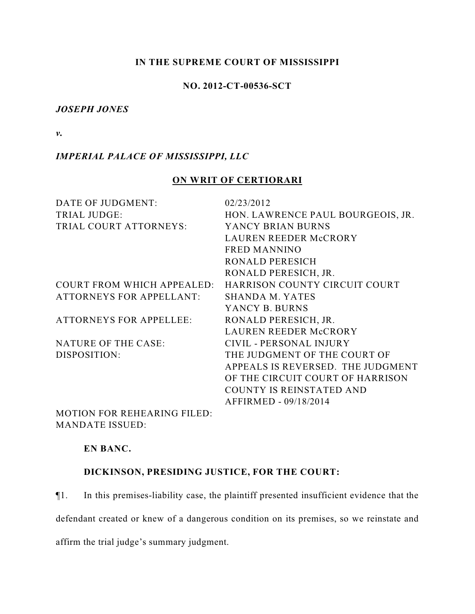### **IN THE SUPREME COURT OF MISSISSIPPI**

### **NO. 2012-CT-00536-SCT**

#### *JOSEPH JONES*

*v.*

### *IMPERIAL PALACE OF MISSISSIPPI, LLC*

# **ON WRIT OF CERTIORARI**

| DATE OF JUDGMENT:                 | 02/23/2012                        |
|-----------------------------------|-----------------------------------|
| <b>TRIAL JUDGE:</b>               | HON. LAWRENCE PAUL BOURGEOIS, JR. |
| TRIAL COURT ATTORNEYS:            | YANCY BRIAN BURNS                 |
|                                   | LAUREN REEDER McCRORY             |
|                                   | <b>FRED MANNINO</b>               |
|                                   | <b>RONALD PERESICH</b>            |
|                                   | RONALD PERESICH, JR.              |
| <b>COURT FROM WHICH APPEALED:</b> | HARRISON COUNTY CIRCUIT COURT     |
| <b>ATTORNEYS FOR APPELLANT:</b>   | SHANDA M. YATES                   |
|                                   | YANCY B. BURNS                    |
| <b>ATTORNEYS FOR APPELLEE:</b>    | RONALD PERESICH, JR.              |
|                                   | LAUREN REEDER McCRORY             |
| <b>NATURE OF THE CASE:</b>        | CIVIL - PERSONAL INJURY           |
| DISPOSITION:                      | THE JUDGMENT OF THE COURT OF      |
|                                   | APPEALS IS REVERSED. THE JUDGMENT |
|                                   | OF THE CIRCUIT COURT OF HARRISON  |
|                                   | <b>COUNTY IS REINSTATED AND</b>   |
|                                   | AFFIRMED - 09/18/2014             |
| MOTION EOD DEHEADING EH ED.       |                                   |

MOTION FOR REHEARING FILED: MANDATE ISSUED:

#### **EN BANC.**

### **DICKINSON, PRESIDING JUSTICE, FOR THE COURT:**

¶1. In this premises-liability case, the plaintiff presented insufficient evidence that the defendant created or knew of a dangerous condition on its premises, so we reinstate and affirm the trial judge's summary judgment.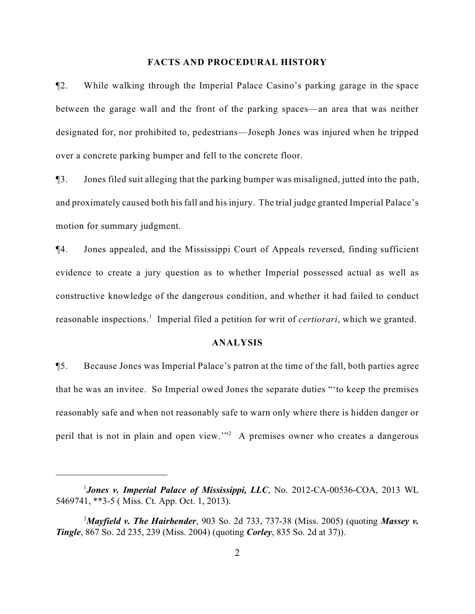#### **FACTS AND PROCEDURAL HISTORY**

¶2. While walking through the Imperial Palace Casino's parking garage in the space between the garage wall and the front of the parking spaces—an area that was neither designated for, nor prohibited to, pedestrians—Joseph Jones was injured when he tripped over a concrete parking bumper and fell to the concrete floor.

¶3. Jones filed suit alleging that the parking bumper was misaligned, jutted into the path, and proximately caused both his fall and his injury. The trial judge granted Imperial Palace's motion for summary judgment.

¶4. Jones appealed, and the Mississippi Court of Appeals reversed, finding sufficient evidence to create a jury question as to whether Imperial possessed actual as well as constructive knowledge of the dangerous condition, and whether it had failed to conduct reasonable inspections.<sup>1</sup> Imperial filed a petition for writ of *certiorari*, which we granted.

#### **ANALYSIS**

¶5. Because Jones was Imperial Palace's patron at the time of the fall, both parties agree that he was an invitee. So Imperial owed Jones the separate duties "'to keep the premises reasonably safe and when not reasonably safe to warn only where there is hidden danger or peril that is not in plain and open view.'" A premises owner who creates a dangerous <sup>2</sup>

*Jones v. Imperial Palace of Mississippi, LLC*, No. 2012-CA-00536-COA, 2013 WL <sup>1</sup> 5469741, \*\*3-5 ( Miss. Ct. App. Oct. 1, 2013).

*Mayfield v. The Hairbender*, 903 So. 2d 733, 737-38 (Miss. 2005) (quoting *Massey v.* <sup>2</sup> *Tingle*, 867 So. 2d 235, 239 (Miss. 2004) (quoting *Corley*, 835 So. 2d at 37)).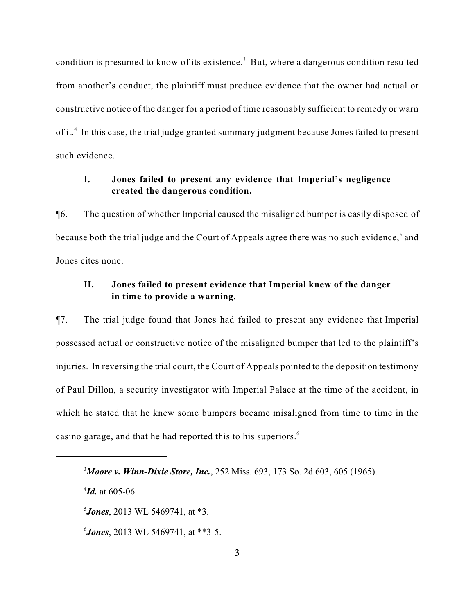condition is presumed to know of its existence.<sup>3</sup> But, where a dangerous condition resulted from another's conduct, the plaintiff must produce evidence that the owner had actual or constructive notice of the danger for a period of time reasonably sufficient to remedy or warn of it.<sup>4</sup> In this case, the trial judge granted summary judgment because Jones failed to present such evidence.

# **I. Jones failed to present any evidence that Imperial's negligence created the dangerous condition.**

¶6. The question of whether Imperial caused the misaligned bumper is easily disposed of because both the trial judge and the Court of Appeals agree there was no such evidence,<sup>5</sup> and Jones cites none.

# **II. Jones failed to present evidence that Imperial knew of the danger in time to provide a warning.**

¶7. The trial judge found that Jones had failed to present any evidence that Imperial possessed actual or constructive notice of the misaligned bumper that led to the plaintiff's injuries. In reversing the trial court, the Court of Appeals pointed to the deposition testimony of Paul Dillon, a security investigator with Imperial Palace at the time of the accident, in which he stated that he knew some bumpers became misaligned from time to time in the casino garage, and that he had reported this to his superiors.<sup>6</sup>

 $^{4}$ *Id.* at 605-06.

*Jones*, 2013 WL 5469741, at \*3.

*Jones*, 2013 WL 5469741, at \*\*3-5. <sup>6</sup>

*Moore v. Winn-Dixie Store, Inc.*, 252 Miss. 693, 173 So. 2d 603, 605 (1965). <sup>3</sup>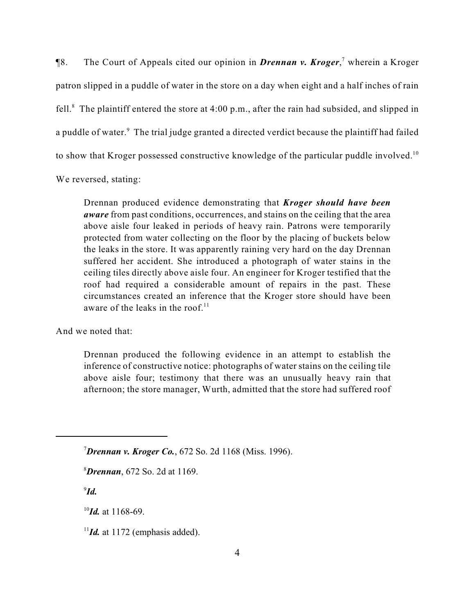**[8.** The Court of Appeals cited our opinion in *Drennan v. Kroger*,<sup>7</sup> wherein a Kroger patron slipped in a puddle of water in the store on a day when eight and a half inches of rain fell.<sup>8</sup> The plaintiff entered the store at 4:00 p.m., after the rain had subsided, and slipped in a puddle of water.<sup>9</sup> The trial judge granted a directed verdict because the plaintiff had failed to show that Kroger possessed constructive knowledge of the particular puddle involved.<sup>10</sup> We reversed, stating:

Drennan produced evidence demonstrating that *Kroger should have been aware* from past conditions, occurrences, and stains on the ceiling that the area above aisle four leaked in periods of heavy rain. Patrons were temporarily protected from water collecting on the floor by the placing of buckets below the leaks in the store. It was apparently raining very hard on the day Drennan suffered her accident. She introduced a photograph of water stains in the ceiling tiles directly above aisle four. An engineer for Kroger testified that the roof had required a considerable amount of repairs in the past. These circumstances created an inference that the Kroger store should have been aware of the leaks in the roof. $11$ 

And we noted that:

Drennan produced the following evidence in an attempt to establish the inference of constructive notice: photographs of water stains on the ceiling tile above aisle four; testimony that there was an unusually heavy rain that afternoon; the store manager, Wurth, admitted that the store had suffered roof

*Drennan v. Kroger Co.*, 672 So. 2d 1168 (Miss. 1996). <sup>7</sup>

*Drennan*, 672 So. 2d at 1169. <sup>8</sup>

 $9$ *Id.* 

 $^{10}$ *Id.* at 1168-69.

 $\frac{11}{1}$ *Id.* at 1172 (emphasis added).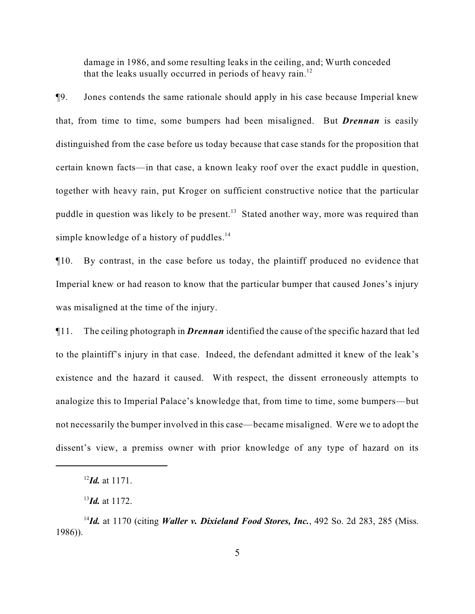damage in 1986, and some resulting leaks in the ceiling, and; Wurth conceded that the leaks usually occurred in periods of heavy rain.<sup>12</sup>

¶9. Jones contends the same rationale should apply in his case because Imperial knew that, from time to time, some bumpers had been misaligned. But *Drennan* is easily distinguished from the case before us today because that case stands for the proposition that certain known facts—in that case, a known leaky roof over the exact puddle in question, together with heavy rain, put Kroger on sufficient constructive notice that the particular puddle in question was likely to be present.<sup>13</sup> Stated another way, more was required than simple knowledge of a history of puddles. $14$ 

¶10. By contrast, in the case before us today, the plaintiff produced no evidence that Imperial knew or had reason to know that the particular bumper that caused Jones's injury was misaligned at the time of the injury.

¶11. The ceiling photograph in *Drennan* identified the cause of the specific hazard that led to the plaintiff's injury in that case. Indeed, the defendant admitted it knew of the leak's existence and the hazard it caused. With respect, the dissent erroneously attempts to analogize this to Imperial Palace's knowledge that, from time to time, some bumpers—but not necessarily the bumper involved in this case—became misaligned. Were we to adopt the dissent's view, a premiss owner with prior knowledge of any type of hazard on its

 $^{12}$ *Id.* at 1171.

 $^{13}$ *Id.* at 1172.

<sup>&</sup>lt;sup>14</sup>*Id.* at 1170 (citing *Waller v. Dixieland Food Stores, Inc.*, 492 So. 2d 283, 285 (Miss. 1986)).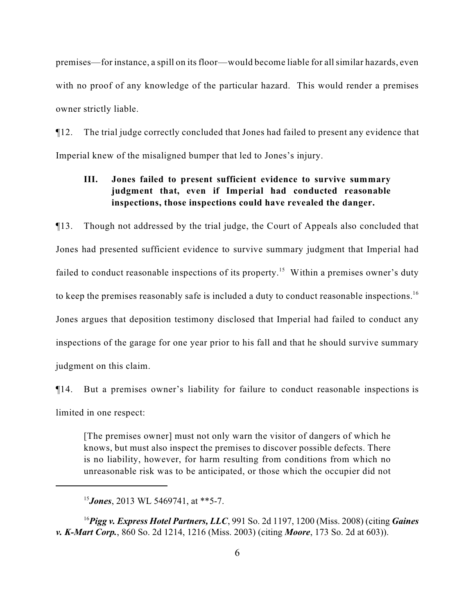premises—for instance, a spill on its floor—would become liable for all similar hazards, even with no proof of any knowledge of the particular hazard. This would render a premises owner strictly liable.

¶12. The trial judge correctly concluded that Jones had failed to present any evidence that Imperial knew of the misaligned bumper that led to Jones's injury.

# **III. Jones failed to present sufficient evidence to survive summary judgment that, even if Imperial had conducted reasonable inspections, those inspections could have revealed the danger.**

¶13. Though not addressed by the trial judge, the Court of Appeals also concluded that Jones had presented sufficient evidence to survive summary judgment that Imperial had failed to conduct reasonable inspections of its property.<sup>15</sup> Within a premises owner's duty to keep the premises reasonably safe is included a duty to conduct reasonable inspections.<sup>16</sup> Jones argues that deposition testimony disclosed that Imperial had failed to conduct any inspections of the garage for one year prior to his fall and that he should survive summary judgment on this claim.

¶14. But a premises owner's liability for failure to conduct reasonable inspections is limited in one respect:

[The premises owner] must not only warn the visitor of dangers of which he knows, but must also inspect the premises to discover possible defects. There is no liability, however, for harm resulting from conditions from which no unreasonable risk was to be anticipated, or those which the occupier did not

*Pigg v. Express Hotel Partners, LLC*, 991 So. 2d 1197, 1200 (Miss. 2008) (citing *Gaines* <sup>16</sup> *v. K-Mart Corp.*, 860 So. 2d 1214, 1216 (Miss. 2003) (citing *Moore*, 173 So. 2d at 603)).

<sup>&</sup>lt;sup>15</sup>**Jones**, 2013 WL 5469741, at \*\*5-7.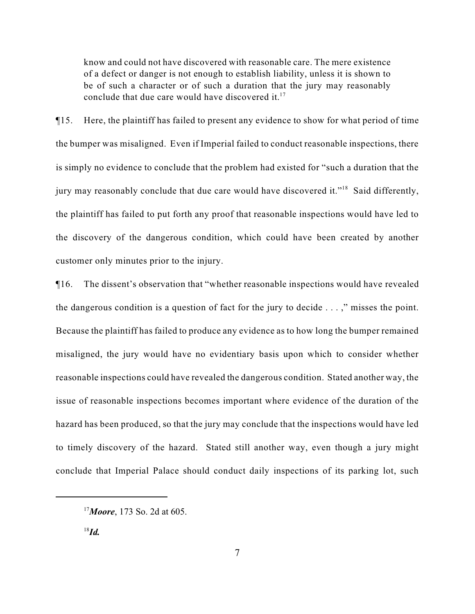know and could not have discovered with reasonable care. The mere existence of a defect or danger is not enough to establish liability, unless it is shown to be of such a character or of such a duration that the jury may reasonably conclude that due care would have discovered it. $17$ 

¶15. Here, the plaintiff has failed to present any evidence to show for what period of time the bumper was misaligned. Even if Imperial failed to conduct reasonable inspections, there is simply no evidence to conclude that the problem had existed for "such a duration that the jury may reasonably conclude that due care would have discovered it."<sup>18</sup> Said differently, the plaintiff has failed to put forth any proof that reasonable inspections would have led to the discovery of the dangerous condition, which could have been created by another customer only minutes prior to the injury.

¶16. The dissent's observation that "whether reasonable inspections would have revealed the dangerous condition is a question of fact for the jury to decide . . . ," misses the point. Because the plaintiff has failed to produce any evidence as to how long the bumper remained misaligned, the jury would have no evidentiary basis upon which to consider whether reasonable inspections could have revealed the dangerous condition. Stated another way, the issue of reasonable inspections becomes important where evidence of the duration of the hazard has been produced, so that the jury may conclude that the inspections would have led to timely discovery of the hazard. Stated still another way, even though a jury might conclude that Imperial Palace should conduct daily inspections of its parking lot, such

<sup>&</sup>lt;sup>17</sup> Moore, 173 So. 2d at 605.

 $^{18}$ *Id.*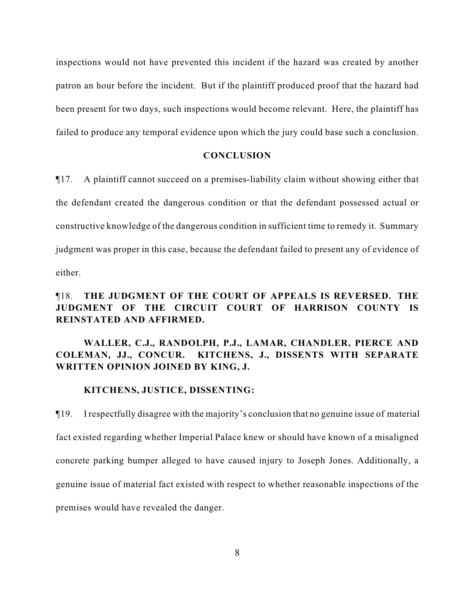inspections would not have prevented this incident if the hazard was created by another patron an hour before the incident. But if the plaintiff produced proof that the hazard had been present for two days, such inspections would become relevant. Here, the plaintiff has failed to produce any temporal evidence upon which the jury could base such a conclusion.

#### **CONCLUSION**

¶17. A plaintiff cannot succeed on a premises-liability claim without showing either that the defendant created the dangerous condition or that the defendant possessed actual or constructive knowledge of the dangerous condition in sufficient time to remedy it. Summary judgment was proper in this case, because the defendant failed to present any of evidence of either.

# ¶18. **THE JUDGMENT OF THE COURT OF APPEALS IS REVERSED. THE JUDGMENT OF THE CIRCUIT COURT OF HARRISON COUNTY IS REINSTATED AND AFFIRMED.**

## **WALLER, C.J., RANDOLPH, P.J., LAMAR, CHANDLER, PIERCE AND COLEMAN, JJ., CONCUR. KITCHENS, J., DISSENTS WITH SEPARATE WRITTEN OPINION JOINED BY KING, J.**

#### **KITCHENS, JUSTICE, DISSENTING:**

¶19. I respectfully disagree with the majority's conclusion that no genuine issue of material fact existed regarding whether Imperial Palace knew or should have known of a misaligned concrete parking bumper alleged to have caused injury to Joseph Jones. Additionally, a genuine issue of material fact existed with respect to whether reasonable inspections of the premises would have revealed the danger.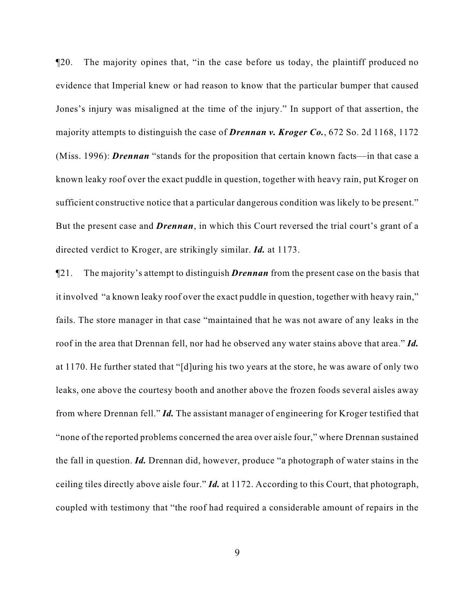¶20. The majority opines that, "in the case before us today, the plaintiff produced no evidence that Imperial knew or had reason to know that the particular bumper that caused Jones's injury was misaligned at the time of the injury." In support of that assertion, the majority attempts to distinguish the case of *Drennan v. Kroger Co.*, 672 So. 2d 1168, 1172 (Miss. 1996): *Drennan* "stands for the proposition that certain known facts––in that case a known leaky roof over the exact puddle in question, together with heavy rain, put Kroger on sufficient constructive notice that a particular dangerous condition was likely to be present." But the present case and *Drennan*, in which this Court reversed the trial court's grant of a directed verdict to Kroger, are strikingly similar. *Id.* at 1173.

¶21. The majority's attempt to distinguish *Drennan* from the present case on the basis that it involved "a known leaky roof over the exact puddle in question, together with heavy rain," fails. The store manager in that case "maintained that he was not aware of any leaks in the roof in the area that Drennan fell, nor had he observed any water stains above that area." *Id.* at 1170. He further stated that "[d]uring his two years at the store, he was aware of only two leaks, one above the courtesy booth and another above the frozen foods several aisles away from where Drennan fell." *Id.* The assistant manager of engineering for Kroger testified that "none of the reported problems concerned the area over aisle four," where Drennan sustained the fall in question. *Id.* Drennan did, however, produce "a photograph of water stains in the ceiling tiles directly above aisle four." *Id.* at 1172. According to this Court, that photograph, coupled with testimony that "the roof had required a considerable amount of repairs in the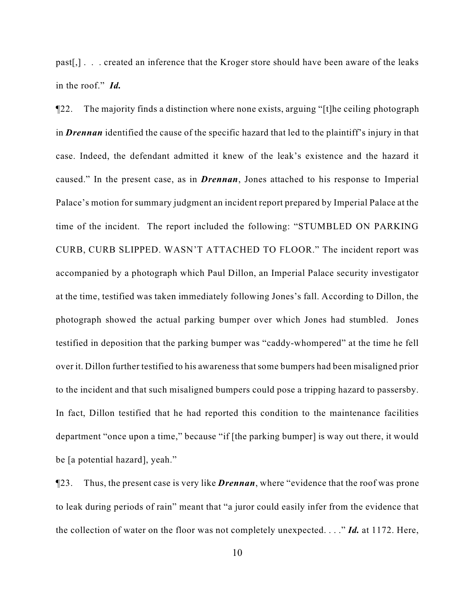past[,] . . . created an inference that the Kroger store should have been aware of the leaks in the roof." *Id.* 

¶22. The majority finds a distinction where none exists, arguing "[t]he ceiling photograph in *Drennan* identified the cause of the specific hazard that led to the plaintiff's injury in that case. Indeed, the defendant admitted it knew of the leak's existence and the hazard it caused." In the present case, as in *Drennan*, Jones attached to his response to Imperial Palace's motion for summary judgment an incident report prepared by Imperial Palace at the time of the incident. The report included the following: "STUMBLED ON PARKING CURB, CURB SLIPPED. WASN'T ATTACHED TO FLOOR." The incident report was accompanied by a photograph which Paul Dillon, an Imperial Palace security investigator at the time, testified was taken immediately following Jones's fall. According to Dillon, the photograph showed the actual parking bumper over which Jones had stumbled. Jones testified in deposition that the parking bumper was "caddy-whompered" at the time he fell over it. Dillon further testified to his awareness that some bumpers had been misaligned prior to the incident and that such misaligned bumpers could pose a tripping hazard to passersby. In fact, Dillon testified that he had reported this condition to the maintenance facilities department "once upon a time," because "if [the parking bumper] is way out there, it would be [a potential hazard], yeah."

¶23. Thus, the present case is very like *Drennan*, where "evidence that the roof was prone to leak during periods of rain" meant that "a juror could easily infer from the evidence that the collection of water on the floor was not completely unexpected. . . ." *Id.* at 1172. Here,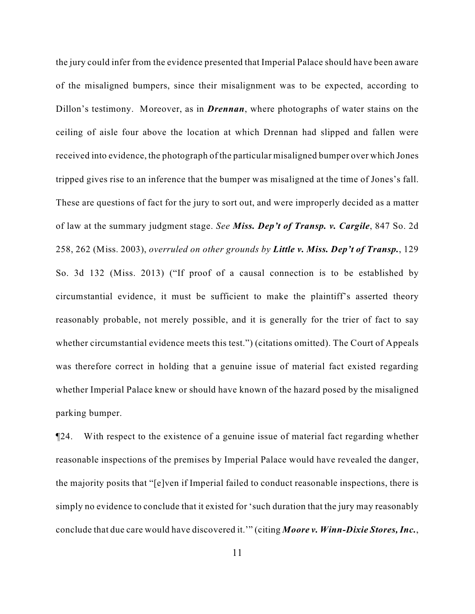the jury could infer from the evidence presented that Imperial Palace should have been aware of the misaligned bumpers, since their misalignment was to be expected, according to Dillon's testimony. Moreover, as in *Drennan*, where photographs of water stains on the ceiling of aisle four above the location at which Drennan had slipped and fallen were received into evidence, the photograph of the particular misaligned bumper over which Jones tripped gives rise to an inference that the bumper was misaligned at the time of Jones's fall. These are questions of fact for the jury to sort out, and were improperly decided as a matter of law at the summary judgment stage. *See Miss. Dep't of Transp. v. Cargile*, 847 So. 2d 258, 262 (Miss. 2003), *overruled on other grounds by Little v. Miss. Dep't of Transp.*, 129 So. 3d 132 (Miss. 2013) ("If proof of a causal connection is to be established by circumstantial evidence, it must be sufficient to make the plaintiff's asserted theory reasonably probable, not merely possible, and it is generally for the trier of fact to say whether circumstantial evidence meets this test.") (citations omitted). The Court of Appeals was therefore correct in holding that a genuine issue of material fact existed regarding whether Imperial Palace knew or should have known of the hazard posed by the misaligned parking bumper.

¶24. With respect to the existence of a genuine issue of material fact regarding whether reasonable inspections of the premises by Imperial Palace would have revealed the danger, the majority posits that "[e]ven if Imperial failed to conduct reasonable inspections, there is simply no evidence to conclude that it existed for 'such duration that the jury may reasonably conclude that due care would have discovered it.'" (citing *Moore v. Winn-Dixie Stores, Inc.*,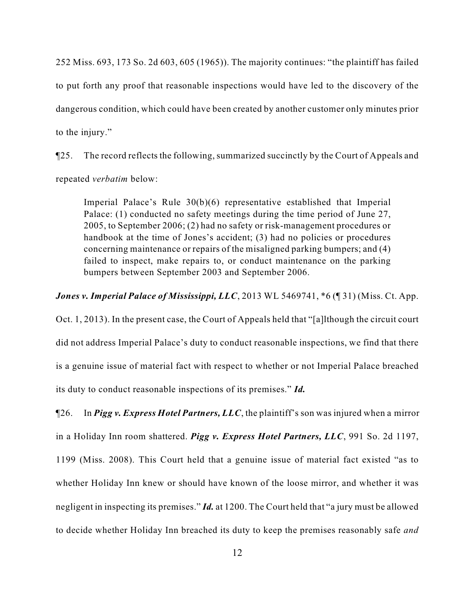252 Miss. 693, 173 So. 2d 603, 605 (1965)). The majority continues: "the plaintiff has failed to put forth any proof that reasonable inspections would have led to the discovery of the dangerous condition, which could have been created by another customer only minutes prior to the injury."

¶25. The record reflects the following, summarized succinctly by the Court of Appeals and repeated *verbatim* below:

Imperial Palace's Rule 30(b)(6) representative established that Imperial Palace: (1) conducted no safety meetings during the time period of June 27, 2005, to September 2006; (2) had no safety or risk-management procedures or handbook at the time of Jones's accident; (3) had no policies or procedures concerning maintenance or repairs of the misaligned parking bumpers; and (4) failed to inspect, make repairs to, or conduct maintenance on the parking bumpers between September 2003 and September 2006.

*Jones v. Imperial Palace of Mississippi, LLC*, 2013 WL 5469741,  $*6$  (¶ 31) (Miss. Ct. App.

Oct. 1, 2013). In the present case, the Court of Appeals held that "[a]lthough the circuit court did not address Imperial Palace's duty to conduct reasonable inspections, we find that there is a genuine issue of material fact with respect to whether or not Imperial Palace breached its duty to conduct reasonable inspections of its premises." *Id.*

¶26. In *Pigg v. Express Hotel Partners, LLC*, the plaintiff's son was injured when a mirror in a Holiday Inn room shattered. *Pigg v. Express Hotel Partners, LLC*, 991 So. 2d 1197, 1199 (Miss. 2008). This Court held that a genuine issue of material fact existed "as to whether Holiday Inn knew or should have known of the loose mirror, and whether it was negligent in inspecting its premises." *Id.* at 1200. The Court held that "a jury must be allowed to decide whether Holiday Inn breached its duty to keep the premises reasonably safe *and*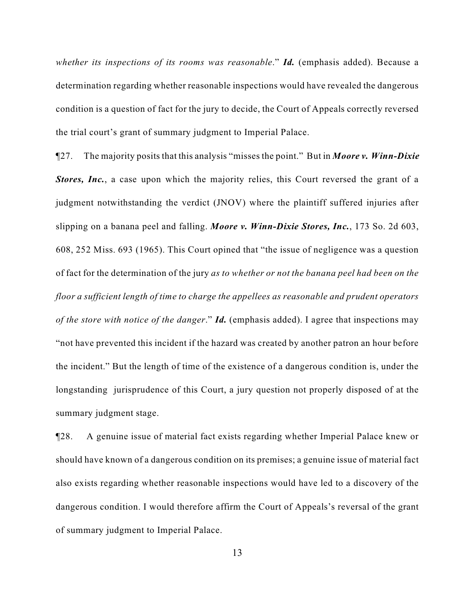*whether its inspections of its rooms was reasonable*." *Id.* (emphasis added). Because a determination regarding whether reasonable inspections would have revealed the dangerous condition is a question of fact for the jury to decide, the Court of Appeals correctly reversed the trial court's grant of summary judgment to Imperial Palace.

¶27. The majority posits that this analysis "misses the point." But in *Moore v. Winn-Dixie Stores, Inc.*, a case upon which the majority relies, this Court reversed the grant of a judgment notwithstanding the verdict (JNOV) where the plaintiff suffered injuries after slipping on a banana peel and falling. *Moore v. Winn-Dixie Stores, Inc.*, 173 So. 2d 603, 608, 252 Miss. 693 (1965). This Court opined that "the issue of negligence was a question of fact for the determination of the jury *as to whether or not the banana peel had been on the floor a sufficient length of time to charge the appellees as reasonable and prudent operators of the store with notice of the danger*." *Id.* (emphasis added). I agree that inspections may "not have prevented this incident if the hazard was created by another patron an hour before the incident." But the length of time of the existence of a dangerous condition is, under the longstanding jurisprudence of this Court, a jury question not properly disposed of at the summary judgment stage.

¶28. A genuine issue of material fact exists regarding whether Imperial Palace knew or should have known of a dangerous condition on its premises; a genuine issue of material fact also exists regarding whether reasonable inspections would have led to a discovery of the dangerous condition. I would therefore affirm the Court of Appeals's reversal of the grant of summary judgment to Imperial Palace.